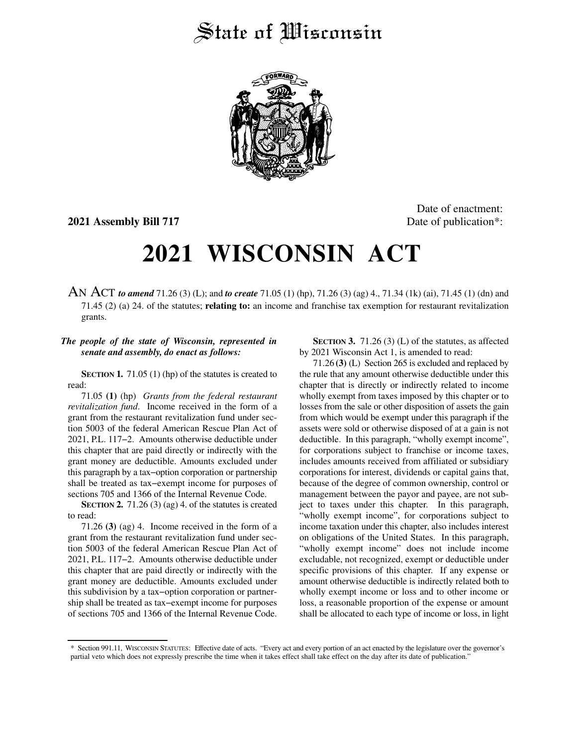## State of *Wisconsin*



**2021 Assembly Bill 717** Date of publication<sup>\*</sup>:

Date of enactment:

## **2021 WISCONSIN ACT**

AN ACT *to amend* 71.26 (3) (L); and *to create* 71.05 (1) (hp), 71.26 (3) (ag) 4., 71.34 (1k) (ai), 71.45 (1) (dn) and 71.45 (2) (a) 24. of the statutes; **relating to:** an income and franchise tax exemption for restaurant revitalization grants.

## *The people of the state of Wisconsin, represented in senate and assembly, do enact as follows:*

**SECTION 1.** 71.05 (1) (hp) of the statutes is created to read:

71.05 **(1)** (hp) *Grants from the federal restaurant revitalization fund*. Income received in the form of a grant from the restaurant revitalization fund under section 5003 of the federal American Rescue Plan Act of 2021, P.L. 117−2. Amounts otherwise deductible under this chapter that are paid directly or indirectly with the grant money are deductible. Amounts excluded under this paragraph by a tax−option corporation or partnership shall be treated as tax−exempt income for purposes of sections 705 and 1366 of the Internal Revenue Code.

**SECTION 2.** 71.26 (3) (ag) 4. of the statutes is created to read:

71.26 **(3)** (ag) 4. Income received in the form of a grant from the restaurant revitalization fund under section 5003 of the federal American Rescue Plan Act of 2021, P.L. 117−2. Amounts otherwise deductible under this chapter that are paid directly or indirectly with the grant money are deductible. Amounts excluded under this subdivision by a tax−option corporation or partnership shall be treated as tax−exempt income for purposes of sections 705 and 1366 of the Internal Revenue Code.

**SECTION 3.** 71.26 (3) (L) of the statutes, as affected by 2021 Wisconsin Act 1, is amended to read:

71.26 **(3)** (L) Section 265 is excluded and replaced by the rule that any amount otherwise deductible under this chapter that is directly or indirectly related to income wholly exempt from taxes imposed by this chapter or to losses from the sale or other disposition of assets the gain from which would be exempt under this paragraph if the assets were sold or otherwise disposed of at a gain is not deductible. In this paragraph, "wholly exempt income", for corporations subject to franchise or income taxes, includes amounts received from affiliated or subsidiary corporations for interest, dividends or capital gains that, because of the degree of common ownership, control or management between the payor and payee, are not subject to taxes under this chapter. In this paragraph, "wholly exempt income", for corporations subject to income taxation under this chapter, also includes interest on obligations of the United States. In this paragraph, "wholly exempt income" does not include income excludable, not recognized, exempt or deductible under specific provisions of this chapter. If any expense or amount otherwise deductible is indirectly related both to wholly exempt income or loss and to other income or loss, a reasonable proportion of the expense or amount shall be allocated to each type of income or loss, in light

<sup>\*</sup> Section 991.11, WISCONSIN STATUTES: Effective date of acts. "Every act and every portion of an act enacted by the legislature over the governor's partial veto which does not expressly prescribe the time when it takes effect shall take effect on the day after its date of publication."